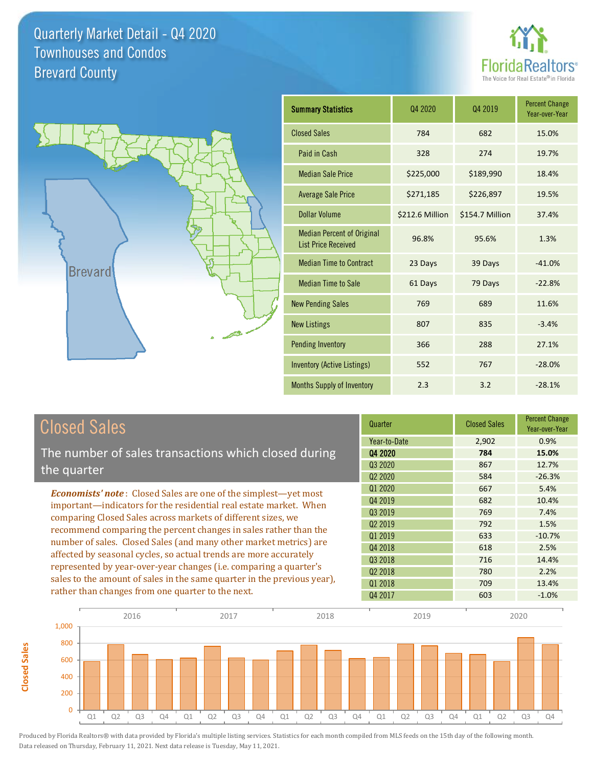



**Closed Sales**

**Closed Sales** 

| <b>Summary Statistics</b>                                       | 04 2020         | 04 2019         | <b>Percent Change</b><br>Year-over-Year |
|-----------------------------------------------------------------|-----------------|-----------------|-----------------------------------------|
| <b>Closed Sales</b>                                             | 784             | 682             | 15.0%                                   |
| Paid in Cash                                                    | 328             | 274             | 19.7%                                   |
| <b>Median Sale Price</b>                                        | \$225,000       | \$189,990       | 18.4%                                   |
| <b>Average Sale Price</b>                                       | \$271,185       | \$226,897       | 19.5%                                   |
| Dollar Volume                                                   | \$212.6 Million | \$154.7 Million | 37.4%                                   |
| <b>Median Percent of Original</b><br><b>List Price Received</b> | 96.8%           | 95.6%           | 1.3%                                    |
| <b>Median Time to Contract</b>                                  | 23 Days         | 39 Days         | $-41.0%$                                |
| <b>Median Time to Sale</b>                                      | 61 Days         | 79 Days         | $-22.8%$                                |
| <b>New Pending Sales</b>                                        | 769             | 689             | 11.6%                                   |
| <b>New Listings</b>                                             | 807             | 835             | $-3.4%$                                 |
| <b>Pending Inventory</b>                                        | 366             | 288             | 27.1%                                   |
| Inventory (Active Listings)                                     | 552             | 767             | $-28.0%$                                |
| <b>Months Supply of Inventory</b>                               | 2.3             | 3.2             | $-28.1%$                                |

| <b>Closed Sales</b>                                                                                                                                                                                                                                                                                                                                                                                                  | Quarter             | <b>Closed Sales</b> | <b>Percent Change</b><br>Year-over-Year |
|----------------------------------------------------------------------------------------------------------------------------------------------------------------------------------------------------------------------------------------------------------------------------------------------------------------------------------------------------------------------------------------------------------------------|---------------------|---------------------|-----------------------------------------|
|                                                                                                                                                                                                                                                                                                                                                                                                                      | Year-to-Date        | 2,902               | 0.9%                                    |
| The number of sales transactions which closed during                                                                                                                                                                                                                                                                                                                                                                 | 04 2020             | 784                 | 15.0%                                   |
| the quarter                                                                                                                                                                                                                                                                                                                                                                                                          | Q3 2020             | 867                 | 12.7%                                   |
|                                                                                                                                                                                                                                                                                                                                                                                                                      | Q <sub>2</sub> 2020 | 584                 | $-26.3%$                                |
| <b>Economists' note:</b> Closed Sales are one of the simplest—yet most                                                                                                                                                                                                                                                                                                                                               | Q1 2020             | 667                 | 5.4%                                    |
| important—indicators for the residential real estate market. When<br>comparing Closed Sales across markets of different sizes, we<br>recommend comparing the percent changes in sales rather than the<br>number of sales. Closed Sales (and many other market metrics) are<br>affected by seasonal cycles, so actual trends are more accurately<br>represented by year-over-year changes (i.e. comparing a quarter's | Q4 2019             | 682                 | 10.4%                                   |
|                                                                                                                                                                                                                                                                                                                                                                                                                      | 03 2019             | 769                 | 7.4%                                    |
|                                                                                                                                                                                                                                                                                                                                                                                                                      | Q <sub>2</sub> 2019 | 792                 | 1.5%                                    |
|                                                                                                                                                                                                                                                                                                                                                                                                                      | 01 2019             | 633                 | $-10.7%$                                |
|                                                                                                                                                                                                                                                                                                                                                                                                                      | Q4 2018             | 618                 | 2.5%                                    |
|                                                                                                                                                                                                                                                                                                                                                                                                                      | Q3 2018             | 716                 | 14.4%                                   |
|                                                                                                                                                                                                                                                                                                                                                                                                                      | Q <sub>2</sub> 2018 | 780                 | 2.2%                                    |
| sales to the amount of sales in the same quarter in the previous year),                                                                                                                                                                                                                                                                                                                                              | 01 2018             | 709                 | 13.4%                                   |
| rather than changes from one quarter to the next.                                                                                                                                                                                                                                                                                                                                                                    | Q4 2017             | 603                 | $-1.0%$                                 |

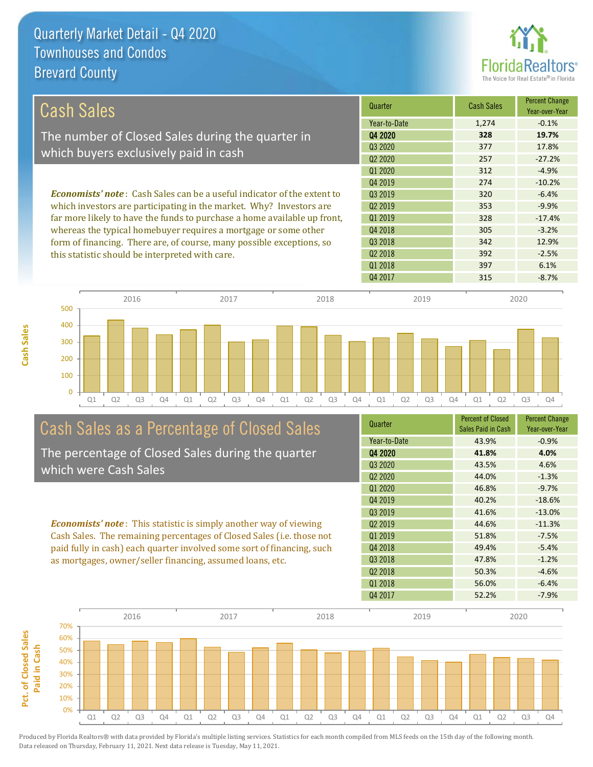**Cash Sales**



| Cash Sales                                                                     | Quarter             | <b>Cash Sales</b> | <b>Percent Change</b><br>Year-over-Year |
|--------------------------------------------------------------------------------|---------------------|-------------------|-----------------------------------------|
|                                                                                | Year-to-Date        | 1,274             | $-0.1%$                                 |
| The number of Closed Sales during the quarter in                               | Q4 2020             | 328               | 19.7%                                   |
| which buyers exclusively paid in cash                                          | Q3 2020             | 377               | 17.8%                                   |
|                                                                                | Q <sub>2</sub> 2020 | 257               | $-27.2%$                                |
|                                                                                | Q1 2020             | 312               | $-4.9%$                                 |
|                                                                                | Q4 2019             | 274               | $-10.2%$                                |
| <b>Economists' note:</b> Cash Sales can be a useful indicator of the extent to | 03 2019             | 320               | $-6.4%$                                 |
| which investors are participating in the market. Why? Investors are            | 02 2019             | 353               | $-9.9%$                                 |
| far more likely to have the funds to purchase a home available up front,       | Q1 2019             | 328               | $-17.4%$                                |
| whereas the typical homebuyer requires a mortgage or some other                | Q4 2018             | 305               | $-3.2%$                                 |
| form of financing. There are, of course, many possible exceptions, so          | Q3 2018             | 342               | 12.9%                                   |
| this statistic should be interpreted with care.                                | 02 2018             | 392               | $-2.5%$                                 |
|                                                                                | Q1 2018             | 397               | 6.1%                                    |
|                                                                                | Q4 2017             | 315               | $-8.7%$                                 |



# Cash Sales as a Percentage of Closed Sales

The percentage of Closed Sales during the quarter which were Cash Sales

*Economists' note* : This statistic is simply another way of viewing Cash Sales. The remaining percentages of Closed Sales (i.e. those not paid fully in cash) each quarter involved some sort of financing, such as mortgages, owner/seller financing, assumed loans, etc.



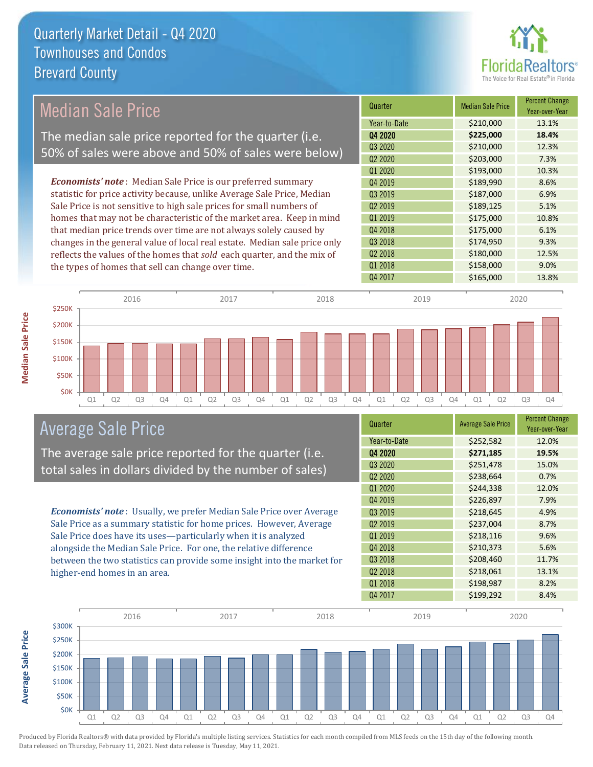

## Median Sale Price

The median sale price reported for the quarter (i.e. 50% of sales were above and 50% of sales were below)

*Economists' note* : Median Sale Price is our preferred summary statistic for price activity because, unlike Average Sale Price, Median Sale Price is not sensitive to high sale prices for small numbers of homes that may not be characteristic of the market area. Keep in mind that median price trends over time are not always solely caused by changes in the general value of local real estate. Median sale price only reflects the values of the homes that *sold* each quarter, and the mix of the types of homes that sell can change over time.

| Quarter                         | <b>Median Sale Price</b> | <b>Percent Change</b><br>Year-over-Year |
|---------------------------------|--------------------------|-----------------------------------------|
| Year-to-Date                    | \$210,000                | 13.1%                                   |
| Q4 2020                         | \$225,000                | 18.4%                                   |
| Q3 2020                         | \$210,000                | 12.3%                                   |
| Q <sub>2</sub> 20 <sub>20</sub> | \$203,000                | 7.3%                                    |
| Q1 2020                         | \$193,000                | 10.3%                                   |
| Q4 2019                         | \$189,990                | 8.6%                                    |
| Q3 2019                         | \$187,000                | 6.9%                                    |
| Q <sub>2</sub> 2019             | \$189,125                | 5.1%                                    |
| Q1 2019                         | \$175,000                | 10.8%                                   |
| Q4 2018                         | \$175,000                | 6.1%                                    |
| Q3 2018                         | \$174,950                | 9.3%                                    |
| Q <sub>2</sub> 2018             | \$180,000                | 12.5%                                   |
| Q1 2018                         | \$158,000                | 9.0%                                    |
| Q4 2017                         | \$165,000                | 13.8%                                   |



#### Average Sale Price

The average sale price reported for the quarter (i.e. total sales in dollars divided by the number of sales)

*Economists' note* : Usually, we prefer Median Sale Price over Average Sale Price as a summary statistic for home prices. However, Average Sale Price does have its uses—particularly when it is analyzed alongside the Median Sale Price. For one, the relative difference between the two statistics can provide some insight into the market for higher-end homes in an area.

| Quarter                         | <b>Average Sale Price</b> | <b>Percent Change</b><br>Year-over-Year |
|---------------------------------|---------------------------|-----------------------------------------|
| Year-to-Date                    | \$252,582                 | 12.0%                                   |
| Q4 2020                         | \$271,185                 | 19.5%                                   |
| Q3 2020                         | \$251,478                 | 15.0%                                   |
| Q <sub>2</sub> 20 <sub>20</sub> | \$238,664                 | 0.7%                                    |
| Q1 2020                         | \$244,338                 | 12.0%                                   |
| Q4 2019                         | \$226,897                 | 7.9%                                    |
| Q3 2019                         | \$218,645                 | 4.9%                                    |
| Q <sub>2</sub> 2019             | \$237,004                 | 8.7%                                    |
| 01 2019                         | \$218,116                 | 9.6%                                    |
| Q4 2018                         | \$210,373                 | 5.6%                                    |
| Q3 2018                         | \$208,460                 | 11.7%                                   |
| Q <sub>2</sub> 2018             | \$218,061                 | 13.1%                                   |
| Q1 2018                         | \$198,987                 | 8.2%                                    |
| Q4 2017                         | \$199,292                 | 8.4%                                    |



Produced by Florida Realtors® with data provided by Florida's multiple listing services. Statistics for each month compiled from MLS feeds on the 15th day of the following month. Data released on Thursday, February 11, 2021. Next data release is Tuesday, May 11, 2021.

**Average Sale Price**

**Average Sale Price**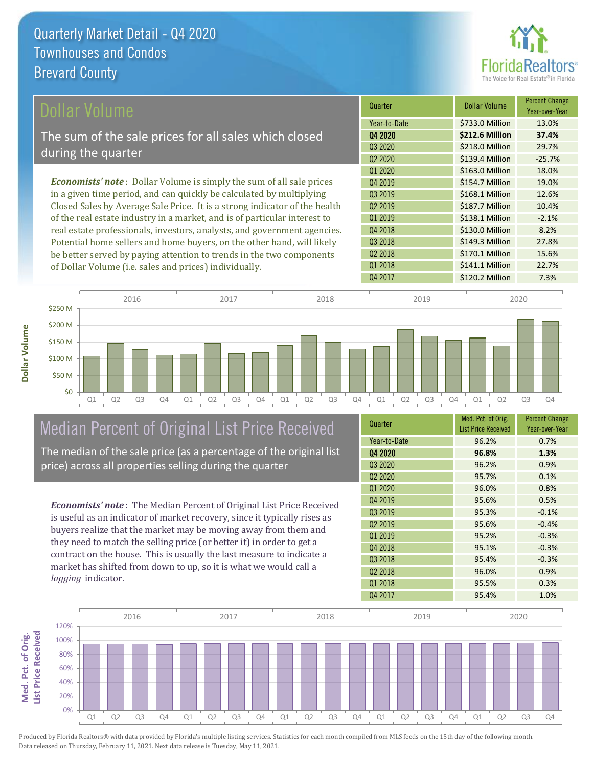**Dollar Volume**



| Dollar Volume                                                                | Quarter             | <b>Dollar Volume</b> | <b>Percent Change</b><br>Year-over-Year |
|------------------------------------------------------------------------------|---------------------|----------------------|-----------------------------------------|
|                                                                              | Year-to-Date        | \$733.0 Million      | 13.0%                                   |
| The sum of the sale prices for all sales which closed                        | Q4 2020             | \$212.6 Million      | 37.4%                                   |
|                                                                              | Q3 2020             | \$218.0 Million      | 29.7%                                   |
| during the quarter                                                           | Q <sub>2</sub> 2020 | \$139.4 Million      | $-25.7%$                                |
|                                                                              | Q1 2020             | \$163.0 Million      | 18.0%                                   |
| <b>Economists' note</b> : Dollar Volume is simply the sum of all sale prices | Q4 2019             | \$154.7 Million      | 19.0%                                   |
| in a given time period, and can quickly be calculated by multiplying         | 03 2019             | \$168.1 Million      | 12.6%                                   |
| Closed Sales by Average Sale Price. It is a strong indicator of the health   | Q <sub>2</sub> 2019 | \$187.7 Million      | 10.4%                                   |
| of the real estate industry in a market, and is of particular interest to    | 01 2019             | \$138.1 Million      | $-2.1%$                                 |
| real estate professionals, investors, analysts, and government agencies.     | Q4 2018             | \$130.0 Million      | 8.2%                                    |
| Potential home sellers and home buyers, on the other hand, will likely       | Q3 2018             | \$149.3 Million      | 27.8%                                   |
| be better served by paying attention to trends in the two components         | Q <sub>2</sub> 2018 | \$170.1 Million      | 15.6%                                   |
| of Dollar Volume ( <i>i.e.</i> sales and prices) individually.               | 01 2018             | \$141.1 Million      | 22.7%                                   |



## Median Percent of Original List Price Received

The median of the sale price (as a percentage of the original list price) across all properties selling during the quarter

*Economists' note* : The Median Percent of Original List Price Received is useful as an indicator of market recovery, since it typically rises as buyers realize that the market may be moving away from them and they need to match the selling price (or better it) in order to get a contract on the house. This is usually the last measure to indicate a market has shifted from down to up, so it is what we would call a *lagging* indicator.

| Quarter             | Med. Pct. of Orig.<br><b>List Price Received</b> | <b>Percent Change</b><br>Year-over-Year |
|---------------------|--------------------------------------------------|-----------------------------------------|
| Year-to-Date        | 96.2%                                            | 0.7%                                    |
| Q4 2020             | 96.8%                                            | 1.3%                                    |
| Q3 2020             | 96.2%                                            | 0.9%                                    |
| Q <sub>2</sub> 2020 | 95.7%                                            | 0.1%                                    |
| Q1 2020             | 96.0%                                            | 0.8%                                    |
| Q4 2019             | 95.6%                                            | 0.5%                                    |
| Q3 2019             | 95.3%                                            | $-0.1%$                                 |
| Q <sub>2</sub> 2019 | 95.6%                                            | $-0.4%$                                 |
| 01 2019             | 95.2%                                            | $-0.3%$                                 |
| Q4 2018             | 95.1%                                            | $-0.3%$                                 |
| Q3 2018             | 95.4%                                            | $-0.3%$                                 |
| Q <sub>2</sub> 2018 | 96.0%                                            | 0.9%                                    |
| 01 2018             | 95.5%                                            | 0.3%                                    |
| Q4 2017             | 95.4%                                            | 1.0%                                    |

Q4 2017 \$120.2 Million 7.3%

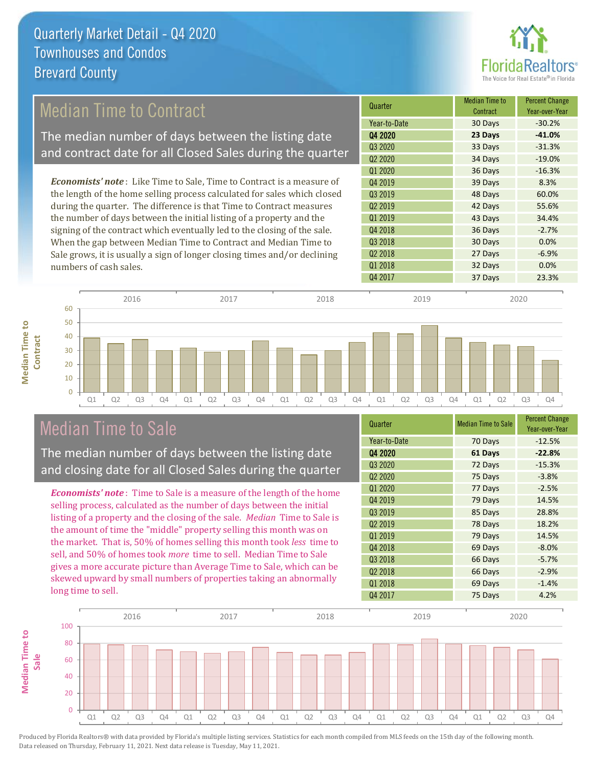

## Median Time to Contract

The median number of days between the listing date and contract date for all Closed Sales during the quarter

*Economists' note* : Like Time to Sale, Time to Contract is a measure of the length of the home selling process calculated for sales which closed during the quarter. The difference is that Time to Contract measures the number of days between the initial listing of a property and the signing of the contract which eventually led to the closing of the sale. When the gap between Median Time to Contract and Median Time to Sale grows, it is usually a sign of longer closing times and/or declining numbers of cash sales.





#### Median Time to Sale

**Median Time to** 

**Median Time to** 

The median number of days between the listing date and closing date for all Closed Sales during the quarter

*Economists' note* : Time to Sale is a measure of the length of the home selling process, calculated as the number of days between the initial listing of a property and the closing of the sale. *Median* Time to Sale is the amount of time the "middle" property selling this month was on the market. That is, 50% of homes selling this month took *less* time to sell, and 50% of homes took *more* time to sell. Median Time to Sale gives a more accurate picture than Average Time to Sale, which can be skewed upward by small numbers of properties taking an abnormally long time to sell.

| Quarter             | <b>Median Time to Sale</b> | <b>Percent Change</b><br>Year-over-Year |
|---------------------|----------------------------|-----------------------------------------|
| Year-to-Date        | 70 Days                    | $-12.5%$                                |
| Q4 2020             | 61 Days                    | $-22.8%$                                |
| Q3 2020             | 72 Days                    | $-15.3%$                                |
| Q <sub>2</sub> 2020 | 75 Days                    | $-3.8%$                                 |
| Q1 2020             | 77 Days                    | $-2.5%$                                 |
| Q4 2019             | 79 Days                    | 14.5%                                   |
| Q3 2019             | 85 Days                    | 28.8%                                   |
| Q <sub>2</sub> 2019 | 78 Days                    | 18.2%                                   |
| Q1 2019             | 79 Days                    | 14.5%                                   |
| Q4 2018             | 69 Days                    | $-8.0%$                                 |
| Q3 2018             | 66 Days                    | $-5.7%$                                 |
| Q <sub>2</sub> 2018 | 66 Days                    | $-2.9%$                                 |
| Q1 2018             | 69 Days                    | $-1.4%$                                 |
| Q4 2017             | 75 Days                    | 4.2%                                    |

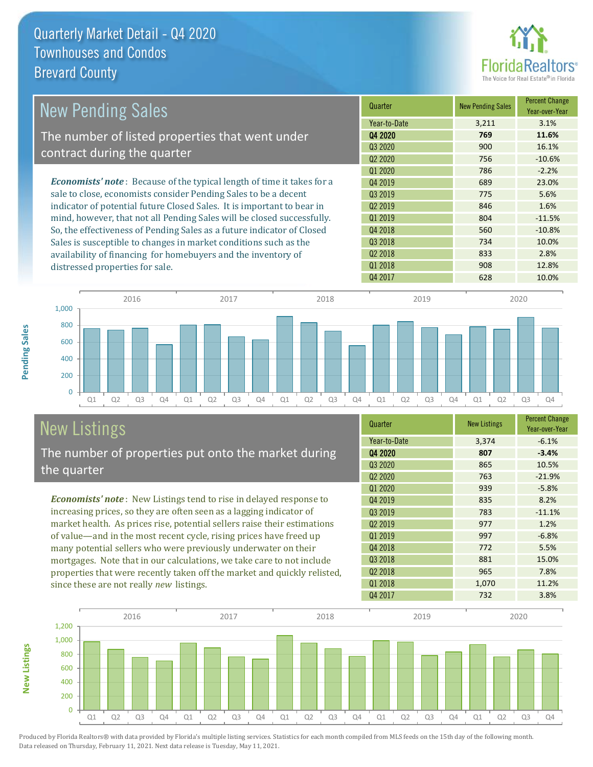

| <b>New Pending Sales</b>                                                      | Quarter             | <b>New Pending Sales</b> | <b>Percent Change</b><br>Year-over-Year |
|-------------------------------------------------------------------------------|---------------------|--------------------------|-----------------------------------------|
|                                                                               | Year-to-Date        | 3,211                    | 3.1%                                    |
| The number of listed properties that went under                               | Q4 2020             | 769                      | 11.6%                                   |
|                                                                               | Q3 2020             | 900                      | 16.1%                                   |
| contract during the quarter                                                   | Q <sub>2</sub> 2020 | 756                      | $-10.6%$                                |
|                                                                               | 01 2020             | 786                      | $-2.2%$                                 |
| <b>Economists' note:</b> Because of the typical length of time it takes for a | Q4 2019             | 689                      | 23.0%                                   |
| sale to close, economists consider Pending Sales to be a decent               | Q3 2019             | 775                      | 5.6%                                    |
| indicator of potential future Closed Sales. It is important to bear in        | Q <sub>2</sub> 2019 | 846                      | 1.6%                                    |
| mind, however, that not all Pending Sales will be closed successfully.        | Q1 2019             | 804                      | $-11.5%$                                |
| So, the effectiveness of Pending Sales as a future indicator of Closed        | Q4 2018             | 560                      | $-10.8%$                                |
| Sales is susceptible to changes in market conditions such as the              | Q3 2018             | 734                      | 10.0%                                   |
| availability of financing for homebuyers and the inventory of                 | Q <sub>2</sub> 2018 | 833                      | 2.8%                                    |
| distressed properties for sale.                                               | Q1 2018             | 908                      | 12.8%                                   |



# New Listings

**New Listings**

**Pending Sales**

Pending Sales

The number of properties put onto the market during the quarter

*Economists' note* : New Listings tend to rise in delayed response to increasing prices, so they are often seen as a lagging indicator of market health. As prices rise, potential sellers raise their estimations of value—and in the most recent cycle, rising prices have freed up many potential sellers who were previously underwater on their mortgages. Note that in our calculations, we take care to not include properties that were recently taken off the market and quickly relisted, since these are not really *new* listings.

| Quarter                         | <b>New Listings</b> | <b>Percent Change</b><br>Year-over-Year |
|---------------------------------|---------------------|-----------------------------------------|
| Year-to-Date                    | 3,374               | $-6.1%$                                 |
| 04 2020                         | 807                 | $-3.4%$                                 |
| Q3 2020                         | 865                 | 10.5%                                   |
| Q <sub>2</sub> 20 <sub>20</sub> | 763                 | $-21.9%$                                |
| Q1 2020                         | 939                 | $-5.8%$                                 |
| Q4 2019                         | 835                 | 8.2%                                    |
| Q3 2019                         | 783                 | $-11.1%$                                |
| Q <sub>2</sub> 2019             | 977                 | 1.2%                                    |
| Q1 2019                         | 997                 | $-6.8%$                                 |
| Q4 2018                         | 772                 | 5.5%                                    |
| Q3 2018                         | 881                 | 15.0%                                   |
| Q2 2018                         | 965                 | 7.8%                                    |
| 01 2018                         | 1,070               | 11.2%                                   |
| Q4 2017                         | 732                 | 3.8%                                    |

Q4 2017 628 10.0%

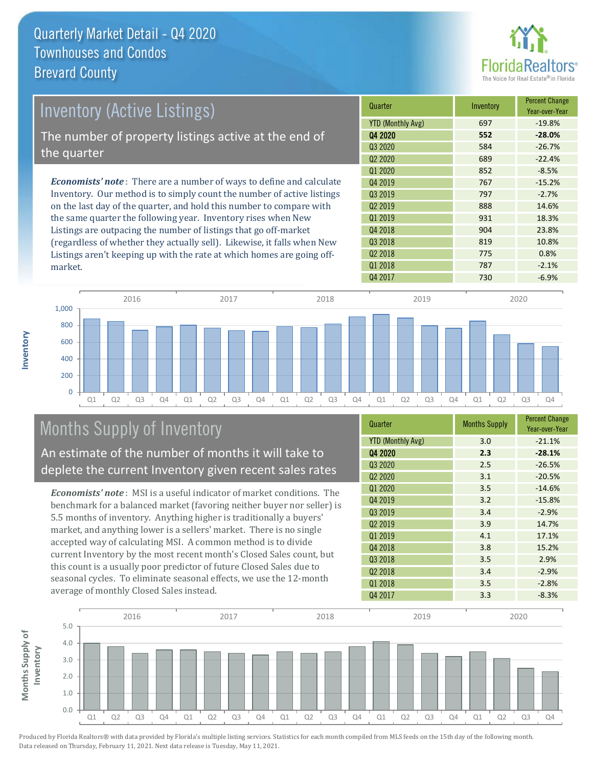

| Inventory (Active Listings)                                                  | Quarter                         | Inventory | <b>Percent Change</b><br>Year-over-Year |
|------------------------------------------------------------------------------|---------------------------------|-----------|-----------------------------------------|
|                                                                              | <b>YTD (Monthly Avg)</b>        | 697       | $-19.8%$                                |
| The number of property listings active at the end of                         | 04 2020                         | 552       | $-28.0%$                                |
| the quarter                                                                  | 03 2020                         | 584       | $-26.7%$                                |
|                                                                              | Q <sub>2</sub> 20 <sub>20</sub> | 689       | $-22.4%$                                |
|                                                                              | Q1 2020                         | 852       | $-8.5%$                                 |
| <b>Economists' note</b> : There are a number of ways to define and calculate | Q4 2019                         | 767       | $-15.2%$                                |
| Inventory. Our method is to simply count the number of active listings       | Q3 2019                         | 797       | $-2.7%$                                 |
| on the last day of the quarter, and hold this number to compare with         | Q <sub>2</sub> 2019             | 888       | 14.6%                                   |
| the same quarter the following year. Inventory rises when New                | Q1 2019                         | 931       | 18.3%                                   |
| Listings are outpacing the number of listings that go off-market             | Q4 2018                         | 904       | 23.8%                                   |
| (regardless of whether they actually sell). Likewise, it falls when New      | Q3 2018                         | 819       | 10.8%                                   |

Q1 Q2 Q3 Q4 Q1 Q2 Q3 Q4 Q1 Q2 Q3 Q4 Q1 Q2 Q3 Q4 Q1 Q2 Q3 Q4 0 200 400 600 800 1,000 2016 2017 2018 2019 2020

## Months Supply of Inventory

An estimate of the number of months it will take to deplete the current Inventory given recent sales rates

Listings aren't keeping up with the rate at which homes are going off-

*Economists' note* : MSI is a useful indicator of market conditions. The benchmark for a balanced market (favoring neither buyer nor seller) is 5.5 months of inventory. Anything higher is traditionally a buyers' market, and anything lower is a sellers' market. There is no single accepted way of calculating MSI. A common method is to divide current Inventory by the most recent month's Closed Sales count, but this count is a usually poor predictor of future Closed Sales due to seasonal cycles. To eliminate seasonal effects, we use the 12-month average of monthly Closed Sales instead.

| Quarter                  | <b>Months Supply</b> | <b>Percent Change</b><br>Year-over-Year |
|--------------------------|----------------------|-----------------------------------------|
| <b>YTD (Monthly Avg)</b> | 3.0                  | $-21.1%$                                |
| 04 2020                  | 2.3                  | $-28.1%$                                |
| Q3 2020                  | 2.5                  | $-26.5%$                                |
| Q <sub>2</sub> 2020      | 3.1                  | $-20.5%$                                |
| 01 2020                  | 3.5                  | $-14.6%$                                |
| Q4 2019                  | 3.2                  | $-15.8%$                                |
| Q3 2019                  | 3.4                  | $-2.9%$                                 |
| Q <sub>2</sub> 2019      | 3.9                  | 14.7%                                   |
| Q1 2019                  | 4.1                  | 17.1%                                   |
| Q4 2018                  | 3.8                  | 15.2%                                   |
| Q3 2018                  | 3.5                  | 2.9%                                    |
| Q <sub>2</sub> 2018      | 3.4                  | $-2.9%$                                 |
| 01 2018                  | 3.5                  | $-2.8%$                                 |
| Q4 2017                  | 3.3                  | $-8.3%$                                 |

Q4 2017 **730** -6.9%

Q2 2018 775 0.8% Q1 2018 **2018 787 2.1%** 



Produced by Florida Realtors® with data provided by Florida's multiple listing services. Statistics for each month compiled from MLS feeds on the 15th day of the following month. Data released on Thursday, February 11, 2021. Next data release is Tuesday, May 11, 2021.

market.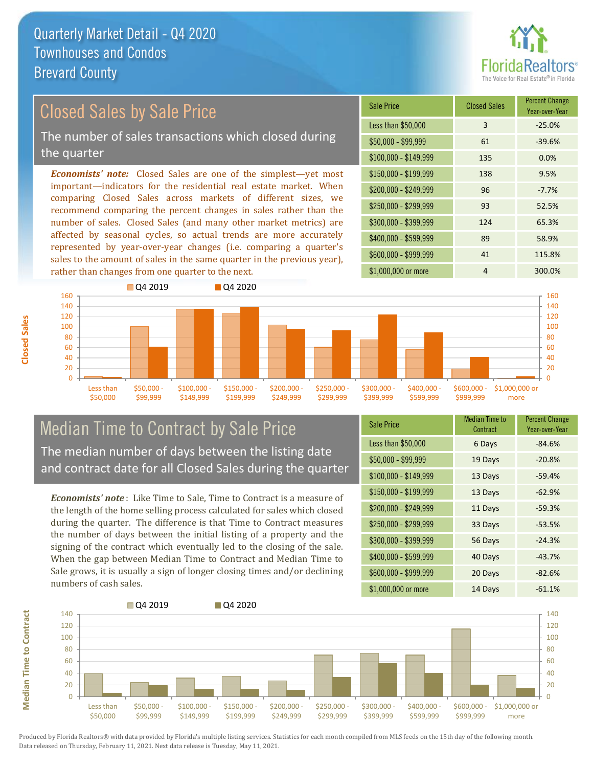

# Closed Sales by Sale Price

The number of sales transactions which closed during the quarter

*Economists' note:* Closed Sales are one of the simplest—yet most important—indicators for the residential real estate market. When comparing Closed Sales across markets of different sizes, we recommend comparing the percent changes in sales rather than the number of sales. Closed Sales (and many other market metrics) are affected by seasonal cycles, so actual trends are more accurately represented by year-over-year changes (i.e. comparing a quarter's sales to the amount of sales in the same quarter in the previous year), rather than changes from one quarter to the next.

| <b>Sale Price</b>     | <b>Closed Sales</b> | <b>Percent Change</b><br>Year-over-Year |
|-----------------------|---------------------|-----------------------------------------|
| Less than \$50,000    | 3                   | $-25.0%$                                |
| $$50,000 - $99,999$   | 61                  | $-39.6%$                                |
| $$100,000 - $149,999$ | 135                 | 0.0%                                    |
| $$150,000 - $199,999$ | 138                 | 9.5%                                    |
| \$200,000 - \$249,999 | 96                  | $-7.7%$                                 |
| \$250,000 - \$299,999 | 93                  | 52.5%                                   |
| \$300,000 - \$399,999 | 124                 | 65.3%                                   |
| \$400,000 - \$599,999 | 89                  | 58.9%                                   |
| \$600,000 - \$999,999 | 41                  | 115.8%                                  |
| \$1,000,000 or more   | 4                   | 300.0%                                  |



#### Median Time to Contract by Sale Price The median number of days between the listing date and contract date for all Closed Sales during the quarter

*Economists' note* : Like Time to Sale, Time to Contract is a measure of the length of the home selling process calculated for sales which closed during the quarter. The difference is that Time to Contract measures the number of days between the initial listing of a property and the signing of the contract which eventually led to the closing of the sale. When the gap between Median Time to Contract and Median Time to Sale grows, it is usually a sign of longer closing times and/or declining numbers of cash sales.

| <b>Sale Price</b>     | Median Time to<br>Contract | <b>Percent Change</b><br>Year-over-Year |
|-----------------------|----------------------------|-----------------------------------------|
| Less than \$50,000    | 6 Days                     | $-84.6%$                                |
| $$50,000 - $99,999$   | 19 Days                    | $-20.8%$                                |
| $$100,000 - $149,999$ | 13 Days                    | $-59.4%$                                |
| $$150,000 - $199,999$ | 13 Days                    | $-62.9%$                                |
| \$200,000 - \$249,999 | 11 Days                    | $-59.3%$                                |
| \$250,000 - \$299,999 | 33 Days                    | $-53.5%$                                |
| \$300,000 - \$399,999 | 56 Days                    | $-24.3%$                                |
| \$400,000 - \$599,999 | 40 Days                    | $-43.7%$                                |
| \$600,000 - \$999,999 | 20 Days                    | $-82.6%$                                |
| \$1,000,000 or more   | 14 Days                    | $-61.1%$                                |



**Median Time to Contract**

**Median Time to Contract**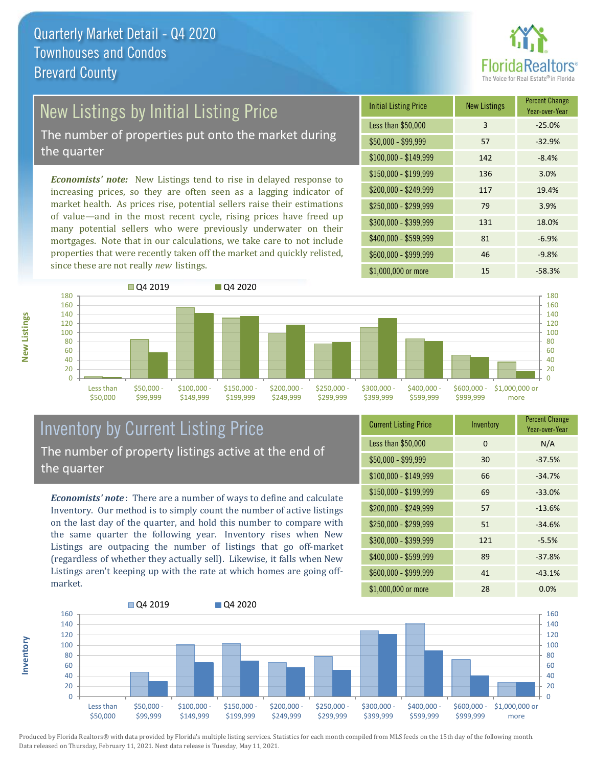

## New Listings by Initial Listing Price

The number of properties put onto the market during the quarter

*Economists' note:* New Listings tend to rise in delayed response to increasing prices, so they are often seen as a lagging indicator of market health. As prices rise, potential sellers raise their estimations of value—and in the most recent cycle, rising prices have freed up many potential sellers who were previously underwater on their mortgages. Note that in our calculations, we take care to not include properties that were recently taken off the market and quickly relisted, since these are not really *new* listings.





#### Inventory by Current Listing Price The number of property listings active at the end of the quarter

*Economists' note* : There are a number of ways to define and calculate Inventory. Our method is to simply count the number of active listings on the last day of the quarter, and hold this number to compare with the same quarter the following year. Inventory rises when New Listings are outpacing the number of listings that go off-market (regardless of whether they actually sell). Likewise, it falls when New Listings aren't keeping up with the rate at which homes are going offmarket.

| <b>Current Listing Price</b> | Inventory | <b>Percent Change</b><br>Year-over-Year |
|------------------------------|-----------|-----------------------------------------|
| Less than \$50,000           | 0         | N/A                                     |
| $$50,000 - $99,999$          | 30        | $-37.5%$                                |
| $$100,000 - $149,999$        | 66        | $-34.7%$                                |
| $$150,000 - $199,999$        | 69        | $-33.0%$                                |
| \$200,000 - \$249,999        | 57        | $-13.6%$                                |
| \$250,000 - \$299,999        | 51        | $-34.6%$                                |
| \$300,000 - \$399,999        | 121       | $-5.5%$                                 |
| \$400,000 - \$599,999        | 89        | $-37.8%$                                |
| \$600,000 - \$999,999        | 41        | $-43.1%$                                |
| \$1,000,000 or more          | 28        | 0.0%                                    |



Produced by Florida Realtors® with data provided by Florida's multiple listing services. Statistics for each month compiled from MLS feeds on the 15th day of the following month. Data released on Thursday, February 11, 2021. Next data release is Tuesday, May 11, 2021.

**Inventory**